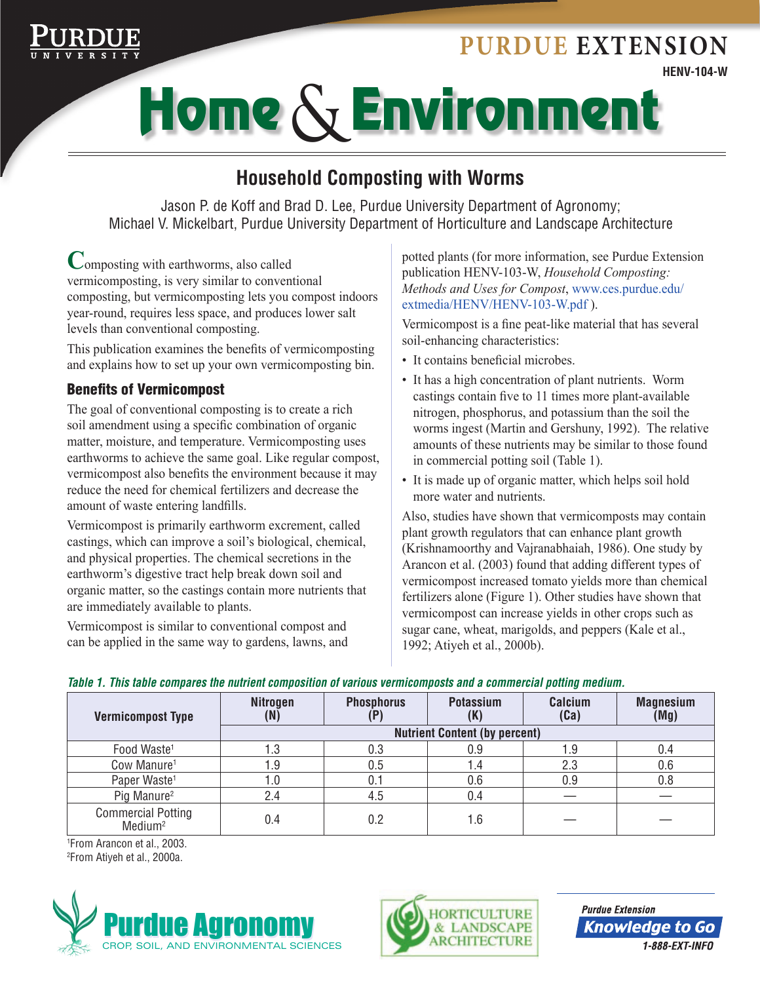# **HENV-104-W Purdue Extension**



# Home & Environment

# **Household Composting with Worms**

Jason P. de Koff and Brad D. Lee, Purdue University Department of Agronomy; Michael V. Mickelbart, Purdue University Department of Horticulture and Landscape Architecture

**C**omposting with earthworms, also called vermicomposting, is very similar to conventional composting, but vermicomposting lets you compost indoors year-round, requires less space, and produces lower salt levels than conventional composting.

This publication examines the benefits of vermicomposting and explains how to set up your own vermicomposting bin.

# Benefits of Vermicompost

The goal of conventional composting is to create a rich soil amendment using a specific combination of organic matter, moisture, and temperature. Vermicomposting uses earthworms to achieve the same goal. Like regular compost, vermicompost also benefits the environment because it may reduce the need for chemical fertilizers and decrease the amount of waste entering landfills.

Vermicompost is primarily earthworm excrement, called castings, which can improve a soil's biological, chemical, and physical properties. The chemical secretions in the earthworm's digestive tract help break down soil and organic matter, so the castings contain more nutrients that are immediately available to plants.

Vermicompost is similar to conventional compost and can be applied in the same way to gardens, lawns, and

potted plants (for more information, see Purdue Extension publication HENV-103-W, *Household Composting: Methods and Uses for Compost*, www.ces.purdue.edu/ extmedia/HENV/HENV-103-W.pdf ).

Vermicompost is a fine peat-like material that has several soil-enhancing characteristics:

- It contains beneficial microbes.
- It has a high concentration of plant nutrients. Worm castings contain five to 11 times more plant-available nitrogen, phosphorus, and potassium than the soil the worms ingest (Martin and Gershuny, 1992). The relative amounts of these nutrients may be similar to those found in commercial potting soil (Table 1).
- It is made up of organic matter, which helps soil hold more water and nutrients.

Also, studies have shown that vermicomposts may contain plant growth regulators that can enhance plant growth (Krishnamoorthy and Vajranabhaiah, 1986). One study by Arancon et al. (2003) found that adding different types of vermicompost increased tomato yields more than chemical fertilizers alone (Figure 1). Other studies have shown that vermicompost can increase yields in other crops such as sugar cane, wheat, marigolds, and peppers (Kale et al., 1992; Atiyeh et al., 2000b).

#### *Table 1. This table compares the nutrient composition of various vermicomposts and a commercial potting medium.*

| <b>Vermicompost Type</b>                         | <b>Nitrogen</b><br>(N)               | <b>Phosphorus</b> | <b>Potassium</b><br>ιn | Calcium<br>(Ca) | <b>Magnesium</b><br>(Mg) |
|--------------------------------------------------|--------------------------------------|-------------------|------------------------|-----------------|--------------------------|
|                                                  | <b>Nutrient Content (by percent)</b> |                   |                        |                 |                          |
| Food Waste <sup>1</sup>                          | . .3                                 | 0.3               | 0.9                    | 1.9             |                          |
| Cow Manure <sup>1</sup>                          | . .9                                 | 0.5               | 4. ا                   | 2.3             | 0.6                      |
| Paper Waste <sup>1</sup>                         | 1.0                                  | 0.1               | 0.6                    | 0.9             | 0.8                      |
| Pig Manure <sup>2</sup>                          | 2.4                                  | 4.5               | 0.4                    |                 |                          |
| <b>Commercial Potting</b><br>Medium <sup>2</sup> | 0.4                                  | $0.2\,$           |                        |                 |                          |

1 From Arancon et al., 2003. 2 From Atiyeh et al., 2000a.





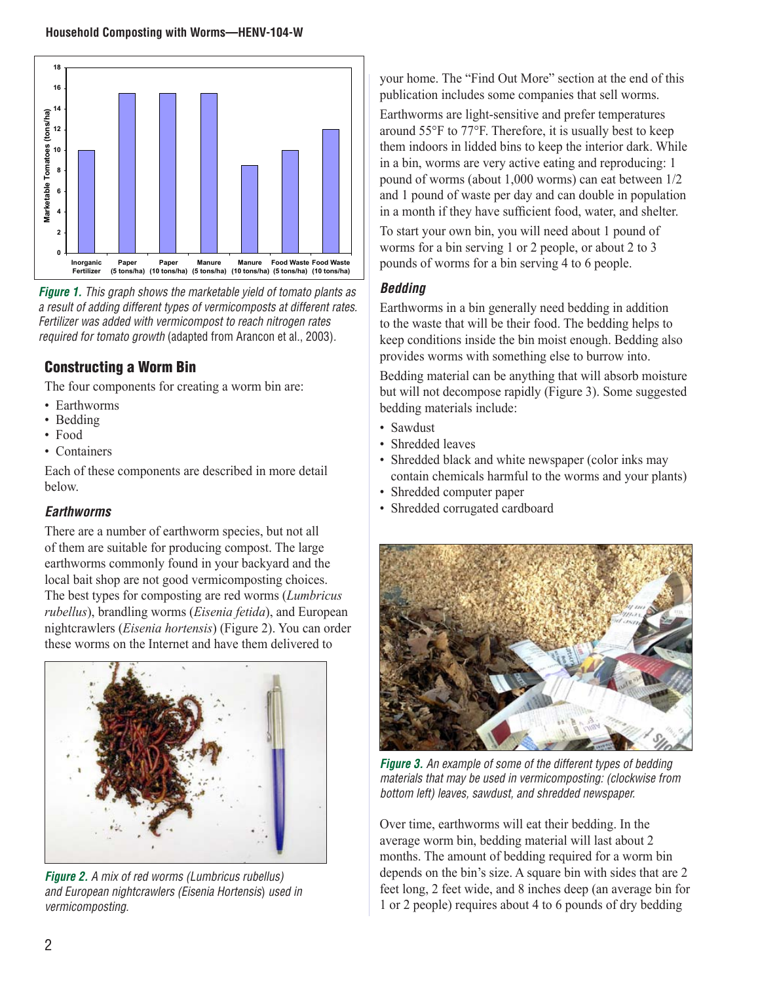

*Figure 1. This graph shows the marketable yield of tomato plants as a result of adding different types of vermicomposts at different rates. Fertilizer was added with vermicompost to reach nitrogen rates required for tomato growth* (adapted from Arancon et al., 2003)*.*

## Constructing a Worm Bin

The four components for creating a worm bin are:

- Earthworms
- Bedding
- Food
- Containers

Each of these components are described in more detail below.

#### *Earthworms*

There are a number of earthworm species, but not all of them are suitable for producing compost. The large earthworms commonly found in your backyard and the local bait shop are not good vermicomposting choices. The best types for composting are red worms (*Lumbricus rubellus*), brandling worms (*Eisenia fetida*), and European nightcrawlers (*Eisenia hortensis*) (Figure 2). You can order these worms on the Internet and have them delivered to



*Figure 2. A mix of red worms (Lumbricus rubellus) and European nightcrawlers (Eisenia Hortensis*) *used in vermicomposting.*

your home. The "Find Out More" section at the end of this publication includes some companies that sell worms. Earthworms are light-sensitive and prefer temperatures around 55°F to 77°F. Therefore, it is usually best to keep them indoors in lidded bins to keep the interior dark. While in a bin, worms are very active eating and reproducing: 1 pound of worms (about 1,000 worms) can eat between 1/2 and 1 pound of waste per day and can double in population in a month if they have sufficient food, water, and shelter.

To start your own bin, you will need about 1 pound of worms for a bin serving 1 or 2 people, or about 2 to 3 pounds of worms for a bin serving 4 to 6 people.

#### *Bedding*

Earthworms in a bin generally need bedding in addition to the waste that will be their food. The bedding helps to keep conditions inside the bin moist enough. Bedding also provides worms with something else to burrow into.

Bedding material can be anything that will absorb moisture but will not decompose rapidly (Figure 3). Some suggested bedding materials include:

- Sawdust
- Shredded leaves
- Shredded black and white newspaper (color inks may contain chemicals harmful to the worms and your plants)
- Shredded computer paper
- Shredded corrugated cardboard



*Figure 3. An example of some of the different types of bedding materials that may be used in vermicomposting: (clockwise from bottom left) leaves, sawdust, and shredded newspaper.*

Over time, earthworms will eat their bedding. In the average worm bin, bedding material will last about 2 months. The amount of bedding required for a worm bin depends on the bin's size. A square bin with sides that are 2 feet long, 2 feet wide, and 8 inches deep (an average bin for 1 or 2 people) requires about 4 to 6 pounds of dry bedding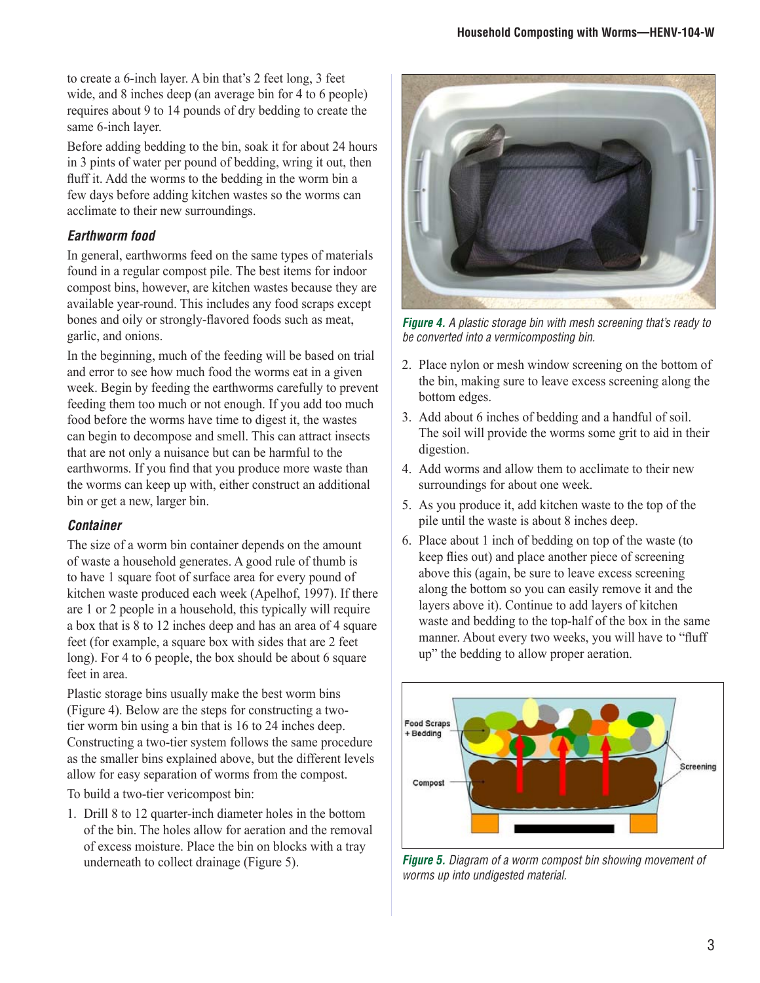to create a 6-inch layer. A bin that's 2 feet long, 3 feet wide, and 8 inches deep (an average bin for 4 to 6 people) requires about 9 to 14 pounds of dry bedding to create the same 6-inch layer.

Before adding bedding to the bin, soak it for about 24 hours in 3 pints of water per pound of bedding, wring it out, then fluff it. Add the worms to the bedding in the worm bin a few days before adding kitchen wastes so the worms can acclimate to their new surroundings.

#### *Earthworm food*

In general, earthworms feed on the same types of materials found in a regular compost pile. The best items for indoor compost bins, however, are kitchen wastes because they are available year-round. This includes any food scraps except bones and oily or strongly-flavored foods such as meat, garlic, and onions.

In the beginning, much of the feeding will be based on trial and error to see how much food the worms eat in a given week. Begin by feeding the earthworms carefully to prevent feeding them too much or not enough. If you add too much food before the worms have time to digest it, the wastes can begin to decompose and smell. This can attract insects that are not only a nuisance but can be harmful to the earthworms. If you find that you produce more waste than the worms can keep up with, either construct an additional bin or get a new, larger bin.

#### *Container*

The size of a worm bin container depends on the amount of waste a household generates. A good rule of thumb is to have 1 square foot of surface area for every pound of kitchen waste produced each week (Apelhof, 1997). If there are 1 or 2 people in a household, this typically will require a box that is 8 to 12 inches deep and has an area of 4 square feet (for example, a square box with sides that are 2 feet long). For 4 to 6 people, the box should be about 6 square feet in area.

Plastic storage bins usually make the best worm bins (Figure 4). Below are the steps for constructing a twotier worm bin using a bin that is 16 to 24 inches deep. Constructing a two-tier system follows the same procedure as the smaller bins explained above, but the different levels allow for easy separation of worms from the compost.

To build a two-tier vericompost bin:

1. Drill 8 to 12 quarter-inch diameter holes in the bottom of the bin. The holes allow for aeration and the removal of excess moisture. Place the bin on blocks with a tray underneath to collect drainage (Figure 5).



*Figure 4. A plastic storage bin with mesh screening that's ready to be converted into a vermicomposting bin.*

- 2. Place nylon or mesh window screening on the bottom of the bin, making sure to leave excess screening along the bottom edges.
- 3. Add about 6 inches of bedding and a handful of soil. The soil will provide the worms some grit to aid in their digestion.
- 4. Add worms and allow them to acclimate to their new surroundings for about one week.
- 5. As you produce it, add kitchen waste to the top of the pile until the waste is about 8 inches deep.
- 6. Place about 1 inch of bedding on top of the waste (to keep flies out) and place another piece of screening above this (again, be sure to leave excess screening along the bottom so you can easily remove it and the layers above it). Continue to add layers of kitchen waste and bedding to the top-half of the box in the same manner. About every two weeks, you will have to "fluff up" the bedding to allow proper aeration.



*Figure 5. Diagram of a worm compost bin showing movement of worms up into undigested material.*